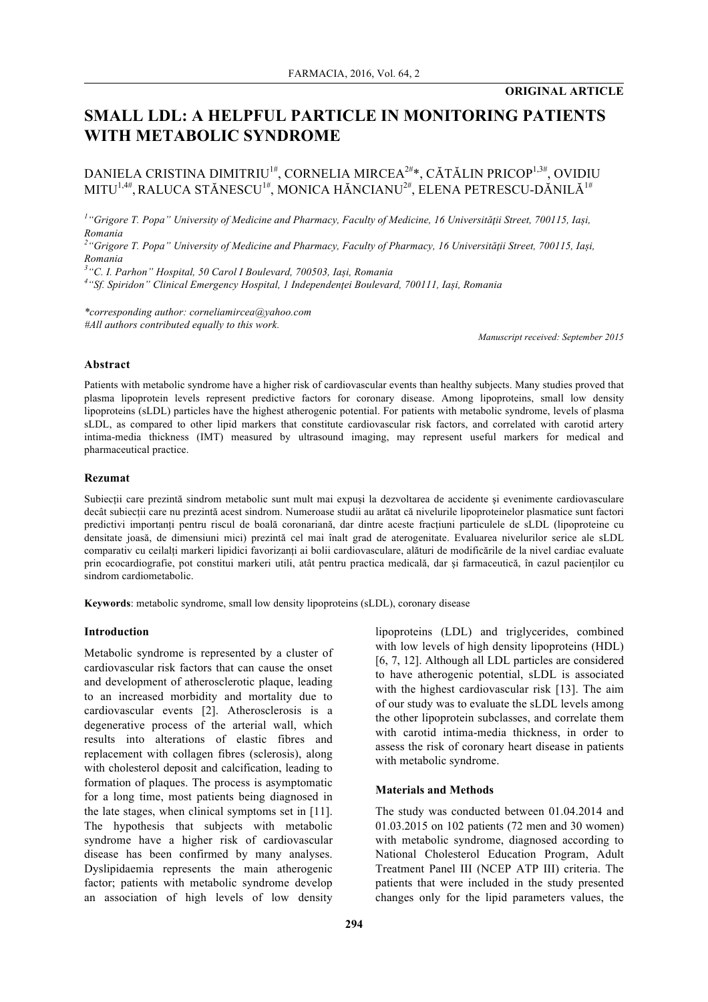# **SMALL LDL: A HELPFUL PARTICLE IN MONITORING PATIENTS WITH METABOLIC SYNDROME**

DANIELA CRISTINA DIMITRIU<sup>1#</sup>, CORNELIA MIRCEA<sup>2#</sup>\*, CĂTĂLIN PRICOP<sup>1,3#</sup>, OVIDIU MITU<sup>1,4#</sup>, RALUCA STĂNESCU<sup>1#</sup>, MONICA HĂNCIANU<sup>2#</sup>, ELENA PETRESCU-DĂNILĂ<sup>1#</sup>

*1 "Grigore T. Popa" University of Medicine and Pharmacy, Faculty of Medicine, 16 Universităţii Street, 700115, Iași, Romania*

*2 "Grigore T. Popa" University of Medicine and Pharmacy, Faculty of Pharmacy, 16 Universităţii Street, 700115, Iași, Romania*

*3 "C. I. Parhon" Hospital, 50 Carol I Boulevard, 700503, Iași, Romania*

*4 "Sf. Spiridon" Clinical Emergency Hospital, 1 Independenţei Boulevard, 700111, Iași, Romania*

*\*corresponding author: corneliamircea@yahoo.com #All authors contributed equally to this work.*

*Manuscript received: September 2015*

## **Abstract**

Patients with metabolic syndrome have a higher risk of cardiovascular events than healthy subjects. Many studies proved that plasma lipoprotein levels represent predictive factors for coronary disease. Among lipoproteins, small low density lipoproteins (sLDL) particles have the highest atherogenic potential. For patients with metabolic syndrome, levels of plasma sLDL, as compared to other lipid markers that constitute cardiovascular risk factors, and correlated with carotid artery intima-media thickness (IMT) measured by ultrasound imaging, may represent useful markers for medical and pharmaceutical practice.

#### **Rezumat**

Subiectii care prezintă sindrom metabolic sunt mult mai expusi la dezvoltarea de accidente si evenimente cardiovasculare decât subiecții care nu prezintă acest sindrom. Numeroase studii au arătat că nivelurile lipoproteinelor plasmatice sunt factori predictivi importanți pentru riscul de boală coronariană, dar dintre aceste fracțiuni particulele de sLDL (lipoproteine cu densitate joasă, de dimensiuni mici) prezintă cel mai înalt grad de aterogenitate. Evaluarea nivelurilor serice ale sLDL comparativ cu ceilalți markeri lipidici favorizanți ai bolii cardiovasculare, alături de modificările de la nivel cardiac evaluate prin ecocardiografie, pot constitui markeri utili, atât pentru practica medicală, dar şi farmaceutică, în cazul pacienților cu sindrom cardiometabolic.

**Keywords**: metabolic syndrome, small low density lipoproteins (sLDL), coronary disease

#### **Introduction**

Metabolic syndrome is represented by a cluster of cardiovascular risk factors that can cause the onset and development of atherosclerotic plaque, leading to an increased morbidity and mortality due to cardiovascular events [2]. Atherosclerosis is a degenerative process of the arterial wall, which results into alterations of elastic fibres and replacement with collagen fibres (sclerosis), along with cholesterol deposit and calcification, leading to formation of plaques. The process is asymptomatic for a long time, most patients being diagnosed in the late stages, when clinical symptoms set in [11]. The hypothesis that subjects with metabolic syndrome have a higher risk of cardiovascular disease has been confirmed by many analyses. Dyslipidaemia represents the main atherogenic factor; patients with metabolic syndrome develop an association of high levels of low density lipoproteins (LDL) and triglycerides, combined with low levels of high density lipoproteins (HDL) [6, 7, 12]. Although all LDL particles are considered to have atherogenic potential, sLDL is associated with the highest cardiovascular risk [13]. The aim of our study was to evaluate the sLDL levels among the other lipoprotein subclasses, and correlate them with carotid intima-media thickness, in order to assess the risk of coronary heart disease in patients with metabolic syndrome.

#### **Materials and Methods**

The study was conducted between 01.04.2014 and 01.03.2015 on 102 patients (72 men and 30 women) with metabolic syndrome, diagnosed according to National Cholesterol Education Program, Adult Treatment Panel III (NCEP ATP III) criteria. The patients that were included in the study presented changes only for the lipid parameters values, the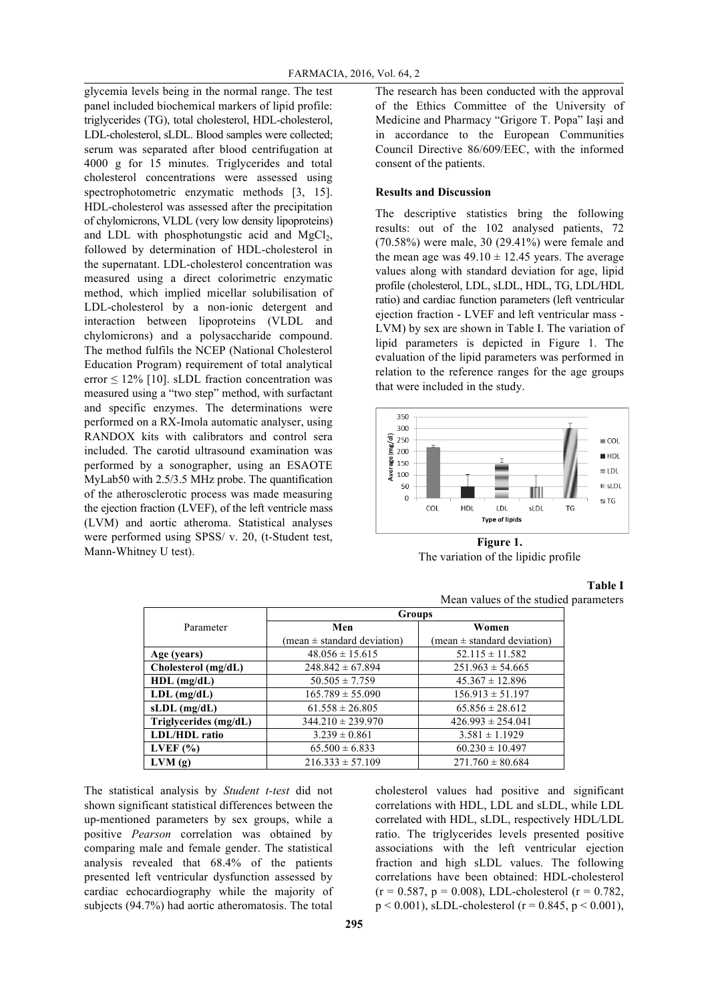glycemia levels being in the normal range. The test panel included biochemical markers of lipid profile: triglycerides (TG), total cholesterol, HDL-cholesterol, LDL-cholesterol, sLDL. Blood samples were collected; serum was separated after blood centrifugation at 4000 g for 15 minutes. Triglycerides and total cholesterol concentrations were assessed using spectrophotometric enzymatic methods [3, 15]. HDL-cholesterol was assessed after the precipitation of chylomicrons, VLDL (very low density lipoproteins) and LDL with phosphotungstic acid and  $MgCl<sub>2</sub>$ , followed by determination of HDL-cholesterol in the supernatant. LDL-cholesterol concentration was measured using a direct colorimetric enzymatic method, which implied micellar solubilisation of LDL-cholesterol by a non-ionic detergent and interaction between lipoproteins (VLDL and chylomicrons) and a polysaccharide compound. The method fulfils the NCEP (National Cholesterol Education Program) requirement of total analytical error  $\leq 12\%$  [10]. sLDL fraction concentration was measured using a "two step" method, with surfactant and specific enzymes. The determinations were performed on a RX-Imola automatic analyser, using RANDOX kits with calibrators and control sera included. The carotid ultrasound examination was performed by a sonographer, using an ESAOTE MyLab50 with 2.5/3.5 MHz probe. The quantification of the atherosclerotic process was made measuring the ejection fraction (LVEF), of the left ventricle mass (LVM) and aortic atheroma. Statistical analyses were performed using SPSS/ v. 20, (t-Student test, Mann-Whitney U test).

The research has been conducted with the approval of the Ethics Committee of the University of Medicine and Pharmacy "Grigore T. Popa" Iaşi and in accordance to the European Communities Council Directive 86/609/EEC, with the informed consent of the patients.

## **Results and Discussion**

The descriptive statistics bring the following results: out of the 102 analysed patients, 72 (70.58%) were male, 30 (29.41%) were female and the mean age was  $49.10 \pm 12.45$  years. The average values along with standard deviation for age, lipid profile (cholesterol, LDL, sLDL, HDL, TG, LDL/HDL ratio) and cardiac function parameters (left ventricular ejection fraction - LVEF and left ventricular mass - LVM) by sex are shown in Table I. The variation of lipid parameters is depicted in Figure 1. The evaluation of the lipid parameters was performed in relation to the reference ranges for the age groups that were included in the study.



**Figure 1.** The variation of the lipidic profile

## **Table I**

Mean values of the studied parameters

|                         | <b>Groups</b>                                 |                                                        |  |  |  |  |  |
|-------------------------|-----------------------------------------------|--------------------------------------------------------|--|--|--|--|--|
| Parameter               | Men                                           | Women<br>$(\text{mean} \pm \text{standard deviation})$ |  |  |  |  |  |
|                         | $(\text{mean} \pm \text{standard deviation})$ |                                                        |  |  |  |  |  |
| Age (years)             | $48.056 \pm 15.615$                           | $52.115 \pm 11.582$                                    |  |  |  |  |  |
| Cholesterol (mg/dL)     | $248.842 \pm 67.894$                          | $251.963 \pm 54.665$                                   |  |  |  |  |  |
| $HDL$ (mg/dL)           | $50.505 \pm 7.759$                            | $45.367 \pm 12.896$                                    |  |  |  |  |  |
| $LDL$ (mg/dL)           | $165.789 \pm 55.090$                          | $156.913 \pm 51.197$                                   |  |  |  |  |  |
| $sLDL$ (mg/dL)          | $61.558 \pm 26.805$                           | $65.856 \pm 28.612$                                    |  |  |  |  |  |
| Triglycerides $(mg/dL)$ | $344.210 \pm 239.970$                         | $426.993 \pm 254.041$                                  |  |  |  |  |  |
| <b>LDL/HDL</b> ratio    | $3.239 \pm 0.861$                             | $3.581 \pm 1.1929$                                     |  |  |  |  |  |
| LVEF $(\% )$            | $65.500 \pm 6.833$                            | $60.230 \pm 10.497$                                    |  |  |  |  |  |
| LVM(g)                  | $216.333 \pm 57.109$                          | $271.760 \pm 80.684$                                   |  |  |  |  |  |

The statistical analysis by *Student t-test* did not shown significant statistical differences between the up-mentioned parameters by sex groups, while a positive *Pearson* correlation was obtained by comparing male and female gender. The statistical analysis revealed that 68.4% of the patients presented left ventricular dysfunction assessed by cardiac echocardiography while the majority of subjects (94.7%) had aortic atheromatosis. The total

cholesterol values had positive and significant correlations with HDL, LDL and sLDL, while LDL correlated with HDL, sLDL, respectively HDL/LDL ratio. The triglycerides levels presented positive associations with the left ventricular ejection fraction and high sLDL values. The following correlations have been obtained: HDL-cholesterol  $(r = 0.587, p = 0.008)$ , LDL-cholesterol  $(r = 0.782)$ ,  $p < 0.001$ ), sLDL-cholesterol (r = 0.845, p < 0.001),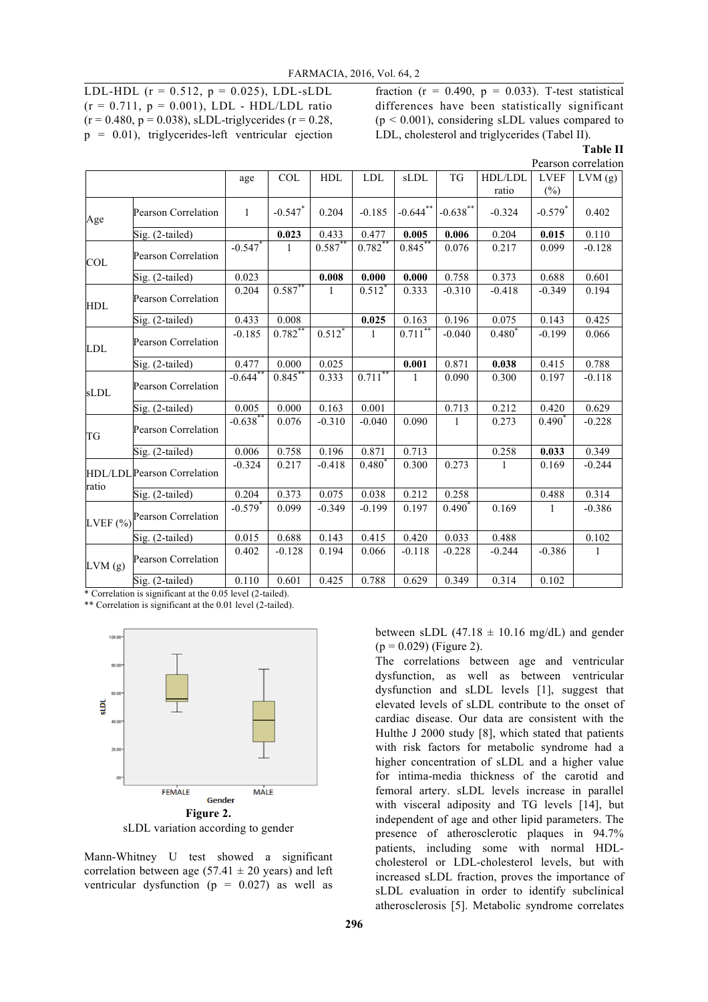LDL-HDL ( $r = 0.512$ ,  $p = 0.025$ ), LDL-sLDL  $(r = 0.711, p = 0.001)$ , LDL - HDL/LDL ratio  $(r = 0.480, p = 0.038)$ , sLDL-triglycerides  $(r = 0.28,$  $p = 0.01$ ), triglycerides-left ventricular ejection fraction ( $r = 0.490$ ,  $p = 0.033$ ). T-test statistical differences have been statistically significant  $(p < 0.001)$ , considering sLDL values compared to LDL, cholesterol and triglycerides (Tabel II).

**Table II**

|            |                                   | Pearson correlation   |              |            |             |              |                   |             |                       |              |  |
|------------|-----------------------------------|-----------------------|--------------|------------|-------------|--------------|-------------------|-------------|-----------------------|--------------|--|
|            |                                   | age                   | COL          | HDL        | <b>LDL</b>  | sLDL         | TG                | HDL/LDL     | <b>LVEF</b>           | LVM(g)       |  |
|            |                                   |                       |              |            |             |              |                   | ratio       | $(\%)$                |              |  |
| Age        | Pearson Correlation               | $\mathbf{1}$          | $-0.547$ *   | 0.204      | $-0.185$    | $-0.644$ **  | $-0.638***$       | $-0.324$    | $-0.579$ <sup>*</sup> | 0.402        |  |
|            | Sig. (2-tailed)                   |                       | 0.023        | 0.433      | 0.477       | 0.005        | 0.006             | 0.204       | 0.015                 | 0.110        |  |
| COL        | Pearson Correlation               | $-0.547$ *            | $\mathbf{1}$ | $0.587$ ** | $0.782$ *   | $0.845*$     | 0.076             | 0.217       | 0.099                 | $-0.128$     |  |
|            | Sig. (2-tailed)                   | 0.023                 |              | 0.008      | 0.000       | 0.000        | 0.758             | 0.373       | 0.688                 | 0.601        |  |
| <b>HDL</b> | <b>Pearson Correlation</b>        | 0.204                 | $0.587**$    | 1          | $0.512^*$   | 0.333        | $-0.310$          | $-0.418$    | $-0.349$              | 0.194        |  |
|            | Sig. (2-tailed)                   | 0.433                 | 0.008        |            | 0.025       | 0.163        | 0.196             | 0.075       | 0.143                 | 0.425        |  |
| LDL        | <b>Pearson Correlation</b>        | $-0.185$              | $0.782***$   | $0.512*$   | 1           | $0.711***$   | $-0.040$          | $0.480^{*}$ | $-0.199$              | 0.066        |  |
|            | Sig. (2-tailed)                   | 0.477                 | 0.000        | 0.025      |             | 0.001        | 0.871             | 0.038       | 0.415                 | 0.788        |  |
| sLDL       | Pearson Correlation               | $-0.644$ **           | $0.845***$   | 0.333      | $0.711$ **  | $\mathbf{1}$ | 0.090             | 0.300       | 0.197                 | $-0.118$     |  |
|            | Sig. (2-tailed)                   | 0.005                 | 0.000        | 0.163      | 0.001       |              | 0.713             | 0.212       | 0.420                 | 0.629        |  |
| TG         | Pearson Correlation               | $-0.638$ *            | 0.076        | $-0.310$   | $-0.040$    | 0.090        | 1                 | 0.273       | $0.490^{\degree}$     | $-0.228$     |  |
|            | Sig. (2-tailed)                   | 0.006                 | 0.758        | 0.196      | 0.871       | 0.713        |                   | 0.258       | 0.033                 | 0.349        |  |
| ratio      | <b>HDL/LDLPearson Correlation</b> | $-0.324$              | 0.217        | $-0.418$   | $0.480^{*}$ | 0.300        | 0.273             |             | 0.169                 | $-0.244$     |  |
|            | Sig. (2-tailed)                   | 0.204                 | 0.373        | 0.075      | 0.038       | 0.212        | 0.258             |             | 0.488                 | 0.314        |  |
| LVEF $(%)$ | <b>Pearson Correlation</b>        | $-0.579$ <sup>*</sup> | 0.099        | $-0.349$   | $-0.199$    | 0.197        | $0.490^{\degree}$ | 0.169       | 1                     | $-0.386$     |  |
|            | Sig. (2-tailed)                   | 0.015                 | 0.688        | 0.143      | 0.415       | 0.420        | 0.033             | 0.488       |                       | 0.102        |  |
| LVM(g)     | <b>Pearson Correlation</b>        | 0.402                 | $-0.128$     | 0.194      | 0.066       | $-0.118$     | $-0.228$          | $-0.244$    | $-0.386$              | $\mathbf{1}$ |  |
|            | Sig. (2-tailed)<br>0.05           | 0.110                 | 0.601        | 0.425      | 0.788       | 0.629        | 0.349             | 0.314       | 0.102                 |              |  |

\* Correlation is significant at the 0.05 level (2-tailed).

\*\* Correlation is significant at the 0.01 level (2-tailed).





Mann-Whitney U test showed a significant correlation between age (57.41  $\pm$  20 years) and left ventricular dysfunction ( $p = 0.027$ ) as well as

between sLDL  $(47.18 \pm 10.16 \text{ mg/dL})$  and gender  $(p = 0.029)$  (Figure 2).

The correlations between age and ventricular dysfunction, as well as between ventricular dysfunction and sLDL levels [1], suggest that elevated levels of sLDL contribute to the onset of cardiac disease. Our data are consistent with the Hulthe J 2000 study [8], which stated that patients with risk factors for metabolic syndrome had a higher concentration of sLDL and a higher value for intima-media thickness of the carotid and femoral artery. sLDL levels increase in parallel with visceral adiposity and TG levels [14], but independent of age and other lipid parameters. The presence of atherosclerotic plaques in 94.7% patients, including some with normal HDLcholesterol or LDL-cholesterol levels, but with increased sLDL fraction, proves the importance of sLDL evaluation in order to identify subclinical atherosclerosis [5]. Metabolic syndrome correlates